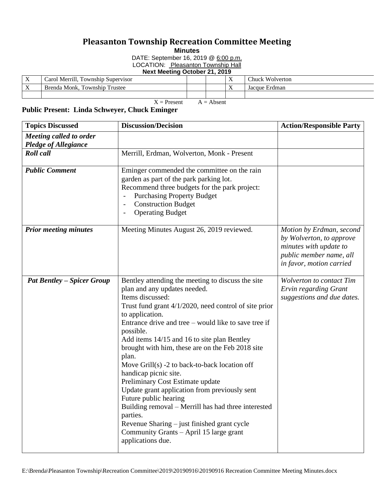## **Pleasanton Township Recreation Committee Meeting**

**Minutes**

DATE: September 16, 2019 @ 6:00 p.m.

LOCATION: Pleasanton Township Hall

**Next Meeting October 21, 2019**

| $\mathbf{v}$<br>$\Lambda$                                                                                       | <br>-<br>Merrill.<br>Fownship Supervisor<br>∴arot |  |  | $\mathbf{v}$<br>$\Lambda$ | $Chuck$ .<br>Wolverton |  |  |
|-----------------------------------------------------------------------------------------------------------------|---------------------------------------------------|--|--|---------------------------|------------------------|--|--|
| $\mathbf{v}$<br>$\Lambda$                                                                                       | m<br>m<br>Brenda Monk,<br>Trustee<br>Township     |  |  | $\mathbf{v}$<br>$\Lambda$ | Jacque Erdman          |  |  |
|                                                                                                                 |                                                   |  |  |                           |                        |  |  |
| the contract of the contract of the contract of the contract of the contract of the contract of the contract of |                                                   |  |  |                           |                        |  |  |

 $X =$  Present  $A =$  Absent

## **Public Present: Linda Schweyer, Chuck Eminger**

| <b>Topics Discussed</b>                                | <b>Discussion/Decision</b>                                                                                                                                                                                                                                                                                                                                                                                                                                                                                                                                                                                                                                                                                                                          | <b>Action/Responsible Party</b>                                                                                                       |
|--------------------------------------------------------|-----------------------------------------------------------------------------------------------------------------------------------------------------------------------------------------------------------------------------------------------------------------------------------------------------------------------------------------------------------------------------------------------------------------------------------------------------------------------------------------------------------------------------------------------------------------------------------------------------------------------------------------------------------------------------------------------------------------------------------------------------|---------------------------------------------------------------------------------------------------------------------------------------|
| Meeting called to order<br><b>Pledge of Allegiance</b> |                                                                                                                                                                                                                                                                                                                                                                                                                                                                                                                                                                                                                                                                                                                                                     |                                                                                                                                       |
| <b>Roll</b> call                                       | Merrill, Erdman, Wolverton, Monk - Present                                                                                                                                                                                                                                                                                                                                                                                                                                                                                                                                                                                                                                                                                                          |                                                                                                                                       |
| <b>Public Comment</b>                                  | Eminger commended the committee on the rain<br>garden as part of the park parking lot.<br>Recommend three budgets for the park project:<br><b>Purchasing Property Budget</b><br><b>Construction Budget</b><br><b>Operating Budget</b>                                                                                                                                                                                                                                                                                                                                                                                                                                                                                                               |                                                                                                                                       |
| <b>Prior meeting minutes</b>                           | Meeting Minutes August 26, 2019 reviewed.                                                                                                                                                                                                                                                                                                                                                                                                                                                                                                                                                                                                                                                                                                           | Motion by Erdman, second<br>by Wolverton, to approve<br>minutes with update to<br>public member name, all<br>in favor, motion carried |
| <b>Pat Bentley – Spicer Group</b>                      | Bentley attending the meeting to discuss the site<br>plan and any updates needed.<br>Items discussed:<br>Trust fund grant $4/1/2020$ , need control of site prior<br>to application.<br>Entrance drive and tree $-$ would like to save tree if<br>possible.<br>Add items 14/15 and 16 to site plan Bentley<br>brought with him, these are on the Feb 2018 site<br>plan.<br>Move $Grill(s)$ -2 to back-to-back location off<br>handicap picnic site.<br>Preliminary Cost Estimate update<br>Update grant application from previously sent<br>Future public hearing<br>Building removal - Merrill has had three interested<br>parties.<br>Revenue Sharing – just finished grant cycle<br>Community Grants - April 15 large grant<br>applications due. | Wolverton to contact Tim<br>Ervin regarding Grant<br>suggestions and due dates.                                                       |